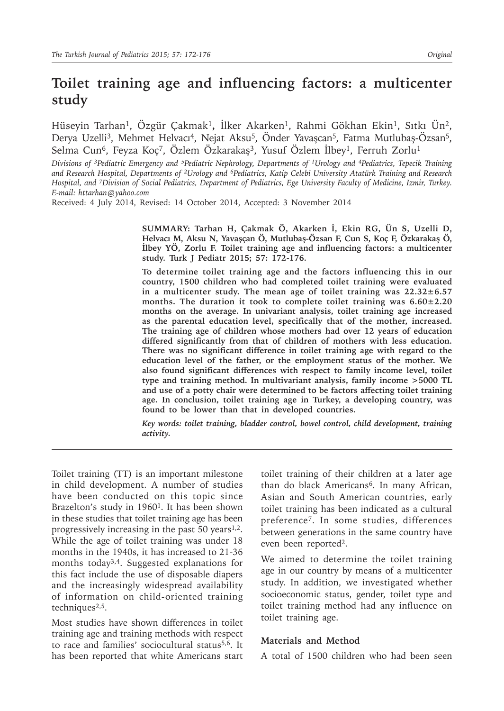# **Toilet training age and influencing factors: a multicenter study**

Hüseyin Tarhan1, Özgür Çakmak1**,** İlker Akarken1, Rahmi Gökhan Ekin1, Sıtkı Ün2, Derya Uzelli<sup>3</sup>, Mehmet Helvacı<sup>4</sup>, Nejat Aksu<sup>5</sup>, Önder Yavaşcan<sup>5</sup>, Fatma Mutlubaş-Özsan<sup>5</sup>, Selma Cun<sup>6</sup>, Feyza Koç<sup>7</sup>, Özlem Özkarakaş<sup>3</sup>, Yusuf Özlem İlbey<sup>1</sup>, Ferruh Zorlu<sup>1</sup>

*Divisions of 3Pediatric Emergency and 5Pediatric Nephrology, Departments of 1Urology and 4Pediatrics, Tepecik Training and Research Hospital, Departments of 2Urology and 6Pediatrics, Katip Celebi University Atatürk Training and Research Hospital, and 7Division of Social Pediatrics, Department of Pediatrics, Ege University Faculty of Medicine, Izmir, Turkey. E-mail: httarhan@yahoo.com*

Received: 4 July 2014, Revised: 14 October 2014, Accepted: 3 November 2014

**SUMMARY: Tarhan H, Çakmak Ö, Akarken İ, Ekin RG, Ün S, Uzelli D, Helvacı M, Aksu N, Yavaşçan Ö, Mutlubaş-Özsan F, Cun S, Koç F, Özkarakaş Ö, İlbey YÖ, Zorlu F. Toilet training age and influencing factors: a multicenter study. Turk J Pediatr 2015; 57: 172-176.**

**To determine toilet training age and the factors influencing this in our country, 1500 children who had completed toilet training were evaluated in a multicenter study. The mean age of toilet training was 22.32±6.57 months. The duration it took to complete toilet training was 6.60±2.20 months on the average. In univariant analysis, toilet training age increased as the parental education level, specifically that of the mother, increased. The training age of children whose mothers had over 12 years of education differed significantly from that of children of mothers with less education. There was no significant difference in toilet training age with regard to the education level of the father, or the employment status of the mother. We also found significant differences with respect to family income level, toilet type and training method. In multivariant analysis, family income >5000 TL and use of a potty chair were determined to be factors affecting toilet training age. In conclusion, toilet training age in Turkey, a developing country, was found to be lower than that in developed countries.**

*Key words: toilet training, bladder control, bowel control, child development, training activity.*

Toilet training (TT) is an important milestone in child development. A number of studies have been conducted on this topic since Brazelton's study in 1960<sup>1</sup>. It has been shown in these studies that toilet training age has been progressively increasing in the past 50 years $1,2$ . While the age of toilet training was under 18 months in the 1940s, it has increased to 21-36 months today<sup>3,4</sup>. Suggested explanations for this fact include the use of disposable diapers and the increasingly widespread availability of information on child-oriented training techniques<sup>2,5</sup>.

Most studies have shown differences in toilet training age and training methods with respect to race and families' sociocultural status<sup>5,6</sup>. It has been reported that white Americans start

toilet training of their children at a later age than do black Americans<sup>6</sup>. In many African, Asian and South American countries, early toilet training has been indicated as a cultural preference7. In some studies, differences between generations in the same country have even been reported<sup>2</sup>.

We aimed to determine the toilet training age in our country by means of a multicenter study. In addition, we investigated whether socioeconomic status, gender, toilet type and toilet training method had any influence on toilet training age.

#### **Materials and Method**

A total of 1500 children who had been seen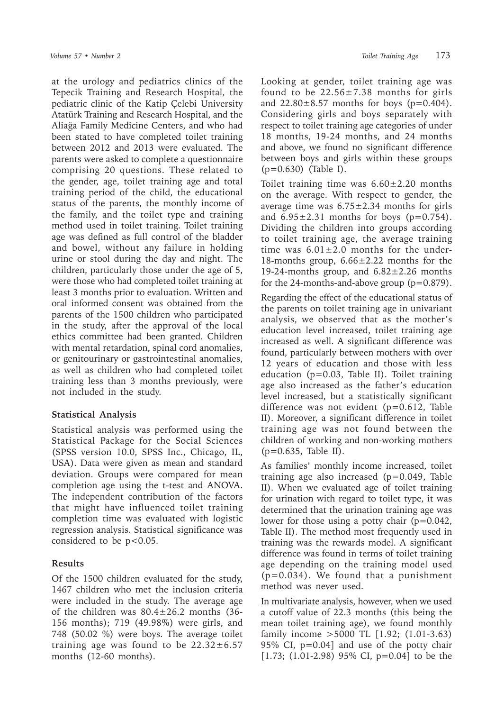at the urology and pediatrics clinics of the Tepecik Training and Research Hospital, the pediatric clinic of the Katip Çelebi University Atatürk Training and Research Hospital, and the Aliağa Family Medicine Centers, and who had been stated to have completed toilet training between 2012 and 2013 were evaluated. The parents were asked to complete a questionnaire comprising 20 questions. These related to the gender, age, toilet training age and total training period of the child, the educational status of the parents, the monthly income of the family, and the toilet type and training method used in toilet training. Toilet training age was defined as full control of the bladder and bowel, without any failure in holding urine or stool during the day and night. The children, particularly those under the age of 5, were those who had completed toilet training at least 3 months prior to evaluation. Written and oral informed consent was obtained from the parents of the 1500 children who participated in the study, after the approval of the local ethics committee had been granted. Children with mental retardation, spinal cord anomalies, or genitourinary or gastrointestinal anomalies, as well as children who had completed toilet training less than 3 months previously, were not included in the study.

### **Statistical Analysis**

Statistical analysis was performed using the Statistical Package for the Social Sciences (SPSS version 10.0, SPSS Inc., Chicago, IL, USA). Data were given as mean and standard deviation. Groups were compared for mean completion age using the t-test and ANOVA. The independent contribution of the factors that might have influenced toilet training completion time was evaluated with logistic regression analysis. Statistical significance was considered to be p<0.05.

### **Results**

Of the 1500 children evaluated for the study, 1467 children who met the inclusion criteria were included in the study. The average age of the children was  $80.4 \pm 26.2$  months (36-156 months); 719 (49.98%) were girls, and 748 (50.02 %) were boys. The average toilet training age was found to be  $22.32 \pm 6.57$ months (12-60 months).

Looking at gender, toilet training age was found to be  $22.56 \pm 7.38$  months for girls and  $22.80 \pm 8.57$  months for boys ( $p = 0.404$ ). Considering girls and boys separately with respect to toilet training age categories of under 18 months, 19-24 months, and 24 months and above, we found no significant difference between boys and girls within these groups (p=0.630) (Table I).

Toilet training time was  $6.60 \pm 2.20$  months on the average. With respect to gender, the average time was  $6.75 \pm 2.34$  months for girls and  $6.95\pm2.31$  months for boys ( $p=0.754$ ). Dividing the children into groups according to toilet training age, the average training time was  $6.01 \pm 2.0$  months for the under-18-months group,  $6.66 \pm 2.22$  months for the 19-24-months group, and  $6.82 \pm 2.26$  months for the 24-months-and-above group  $(p=0.879)$ .

Regarding the effect of the educational status of the parents on toilet training age in univariant analysis, we observed that as the mother's education level increased, toilet training age increased as well. A significant difference was found, particularly between mothers with over 12 years of education and those with less education (p=0.03, Table II). Toilet training age also increased as the father's education level increased, but a statistically significant difference was not evident (p=0.612, Table II). Moreover, a significant difference in toilet training age was not found between the children of working and non-working mothers (p=0.635, Table II).

As families' monthly income increased, toilet training age also increased (p=0.049, Table II). When we evaluated age of toilet training for urination with regard to toilet type, it was determined that the urination training age was lower for those using a potty chair  $(p=0.042,$ Table II). The method most frequently used in training was the rewards model. A significant difference was found in terms of toilet training age depending on the training model used  $(p=0.034)$ . We found that a punishment method was never used.

In multivariate analysis, however, when we used a cutoff value of 22.3 months (this being the mean toilet training age), we found monthly family income >5000 TL [1.92; (1.01-3.63) 95% CI, p=0.04] and use of the potty chair [1.73; (1.01-2.98) 95% CI, p=0.04] to be the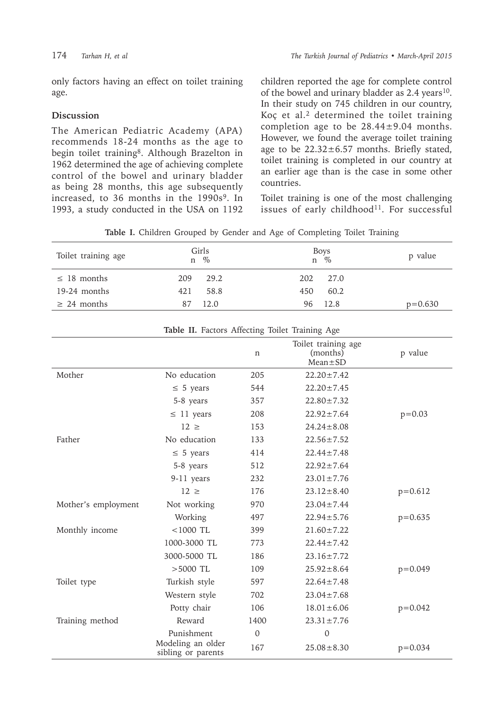only factors having an effect on toilet training age.

## **Discussion**

The American Pediatric Academy (APA) recommends 18-24 months as the age to begin toilet training<sup>8</sup>. Although Brazelton in 1962 determined the age of achieving complete control of the bowel and urinary bladder as being 28 months, this age subsequently increased, to 36 months in the 1990s<sup>9</sup>. In 1993, a study conducted in the USA on 1192

children reported the age for complete control of the bowel and urinary bladder as 2.4 years<sup>10</sup>. In their study on 745 children in our country, Koç et al.<sup>2</sup> determined the toilet training completion age to be 28.44±9.04 months. However, we found the average toilet training age to be 22.32±6.57 months. Briefly stated, toilet training is completed in our country at an earlier age than is the case in some other countries.

Toilet training is one of the most challenging issues of early childhood<sup>11</sup>. For successful

|  |  |  |  |  |  |  |  |  | Table I. Children Grouped by Gender and Age of Completing Toilet Training |  |  |
|--|--|--|--|--|--|--|--|--|---------------------------------------------------------------------------|--|--|
|--|--|--|--|--|--|--|--|--|---------------------------------------------------------------------------|--|--|

| Toilet training age | Girls<br>$\%$<br>n | Boys<br>$\%$<br>n | p value   |
|---------------------|--------------------|-------------------|-----------|
| $\leq$ 18 months    | 29.2<br>209        | 202<br>27.0       |           |
| $19-24$ months      | 421<br>58.8        | 60.2<br>450       |           |
| $\geq$ 24 months    | 12.0               | 96 12.8           | $p=0.630$ |

| Table II. Factors Affecting Toilet Training Age |                                         |              |                                                  |             |  |
|-------------------------------------------------|-----------------------------------------|--------------|--------------------------------------------------|-------------|--|
|                                                 |                                         | n            | Toilet training age<br>(months)<br>$Mean \pm SD$ | p value     |  |
| Mother                                          | No education                            | 205          | $22.20 \pm 7.42$                                 |             |  |
|                                                 | $\leq$ 5 years                          | 544          | $22.20 \pm 7.45$                                 |             |  |
|                                                 | 5-8 years                               | 357          | $22.80 \pm 7.32$                                 |             |  |
|                                                 | $\leq$ 11 years                         | 208          | $22.92 \pm 7.64$                                 | $p = 0.03$  |  |
|                                                 | $12 \geq$                               | 153          | $24.24 \pm 8.08$                                 |             |  |
| Father                                          | No education                            | 133          | $22.56 \pm 7.52$                                 |             |  |
|                                                 | $\leq$ 5 years                          | 414          | $22.44 \pm 7.48$                                 |             |  |
|                                                 | 5-8 years                               | 512          | $22.92 \pm 7.64$                                 |             |  |
|                                                 | 9-11 years                              | 232          | $23.01 \pm 7.76$                                 |             |  |
|                                                 | $12 \geq$                               | 176          | $23.12 \pm 8.40$                                 | $p = 0.612$ |  |
| Mother's employment                             | Not working                             | 970          | $23.04 \pm 7.44$                                 |             |  |
|                                                 | Working                                 | 497          | $22.94 \pm 5.76$                                 | $p = 0.635$ |  |
| Monthly income                                  | $<$ 1000 TL                             | 399          | $21.60 \pm 7.22$                                 |             |  |
|                                                 | 1000-3000 TL                            | 773          | $22.44 \pm 7.42$                                 |             |  |
|                                                 | 3000-5000 TL                            | 186          | $23.16 \pm 7.72$                                 |             |  |
|                                                 | $>5000$ TL                              | 109          | $25.92 \pm 8.64$                                 | $p = 0.049$ |  |
| Toilet type                                     | Turkish style                           | 597          | $22.64 \pm 7.48$                                 |             |  |
|                                                 | Western style                           | 702          | $23.04 \pm 7.68$                                 |             |  |
|                                                 | Potty chair                             | 106          | $18.01 \pm 6.06$                                 | $p = 0.042$ |  |
| Training method                                 | Reward                                  | 1400         | $23.31 \pm 7.76$                                 |             |  |
|                                                 | Punishment                              | $\mathbf{0}$ | $\mathbf{0}$                                     |             |  |
|                                                 | Modeling an older<br>sibling or parents | 167          | $25.08 \pm 8.30$                                 | $p = 0.034$ |  |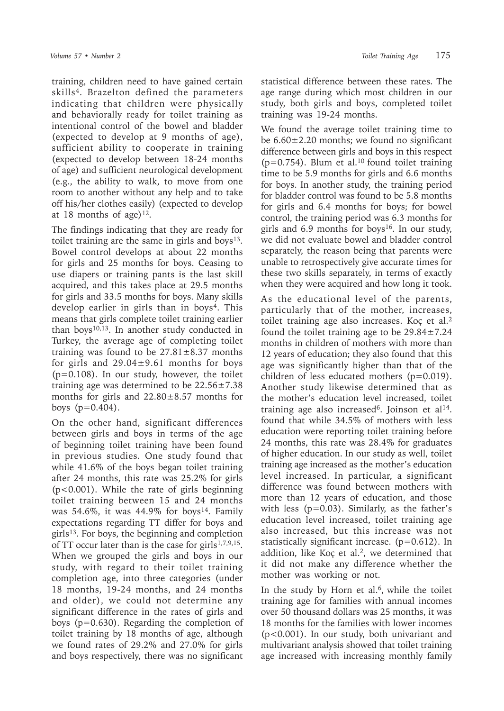training, children need to have gained certain skills4. Brazelton defined the parameters indicating that children were physically and behaviorally ready for toilet training as intentional control of the bowel and bladder (expected to develop at 9 months of age), sufficient ability to cooperate in training (expected to develop between 18-24 months of age) and sufficient neurological development (e.g., the ability to walk, to move from one room to another without any help and to take off his/her clothes easily) (expected to develop at 18 months of age) $12$ .

The findings indicating that they are ready for toilet training are the same in girls and boys<sup>13</sup>. Bowel control develops at about 22 months for girls and 25 months for boys. Ceasing to use diapers or training pants is the last skill acquired, and this takes place at 29.5 months for girls and 33.5 months for boys. Many skills develop earlier in girls than in boys<sup>4</sup>. This means that girls complete toilet training earlier than boys $10,13$ . In another study conducted in Turkey, the average age of completing toilet training was found to be  $27.81 \pm 8.37$  months for girls and  $29.04 \pm 9.61$  months for boys  $(p=0.108)$ . In our study, however, the toilet training age was determined to be  $22.56 \pm 7.38$ months for girls and  $22.80 \pm 8.57$  months for boys  $(p=0.404)$ .

On the other hand, significant differences between girls and boys in terms of the age of beginning toilet training have been found in previous studies. One study found that while 41.6% of the boys began toilet training after 24 months, this rate was 25.2% for girls (p<0.001). While the rate of girls beginning toilet training between 15 and 24 months was 54.6%, it was  $44.9\%$  for boys<sup>14</sup>. Family expectations regarding TT differ for boys and  $girls<sup>13</sup>$ . For boys, the beginning and completion of TT occur later than is the case for girls<sup>1,7,9,15</sup>. When we grouped the girls and boys in our study, with regard to their toilet training completion age, into three categories (under 18 months, 19-24 months, and 24 months and older), we could not determine any significant difference in the rates of girls and boys (p=0.630). Regarding the completion of toilet training by 18 months of age, although we found rates of 29.2% and 27.0% for girls and boys respectively, there was no significant

statistical difference between these rates. The age range during which most children in our study, both girls and boys, completed toilet training was 19-24 months.

We found the average toilet training time to be  $6.60\pm2.20$  months; we found no significant difference between girls and boys in this respect  $(p=0.754)$ . Blum et al.<sup>10</sup> found toilet training time to be 5.9 months for girls and 6.6 months for boys. In another study, the training period for bladder control was found to be 5.8 months for girls and 6.4 months for boys; for bowel control, the training period was 6.3 months for girls and 6.9 months for boys<sup>16</sup>. In our study, we did not evaluate bowel and bladder control separately, the reason being that parents were unable to retrospectively give accurate times for these two skills separately, in terms of exactly when they were acquired and how long it took.

As the educational level of the parents, particularly that of the mother, increases, toilet training age also increases. Koç et al.<sup>2</sup> found the toilet training age to be  $29.84 \pm 7.24$ months in children of mothers with more than 12 years of education; they also found that this age was significantly higher than that of the children of less educated mothers (p=0.019). Another study likewise determined that as the mother's education level increased, toilet training age also increased<sup>6</sup>. Joinson et al<sup>14</sup>. found that while 34.5% of mothers with less education were reporting toilet training before 24 months, this rate was 28.4% for graduates of higher education. In our study as well, toilet training age increased as the mother's education level increased. In particular, a significant difference was found between mothers with more than 12 years of education, and those with less  $(p=0.03)$ . Similarly, as the father's education level increased, toilet training age also increased, but this increase was not statistically significant increase.  $(p=0.612)$ . In addition, like Koç et al.<sup>2</sup>, we determined that it did not make any difference whether the mother was working or not.

In the study by Horn et al. $6$ , while the toilet training age for families with annual incomes over 50 thousand dollars was 25 months, it was 18 months for the families with lower incomes (p<0.001). In our study, both univariant and multivariant analysis showed that toilet training age increased with increasing monthly family